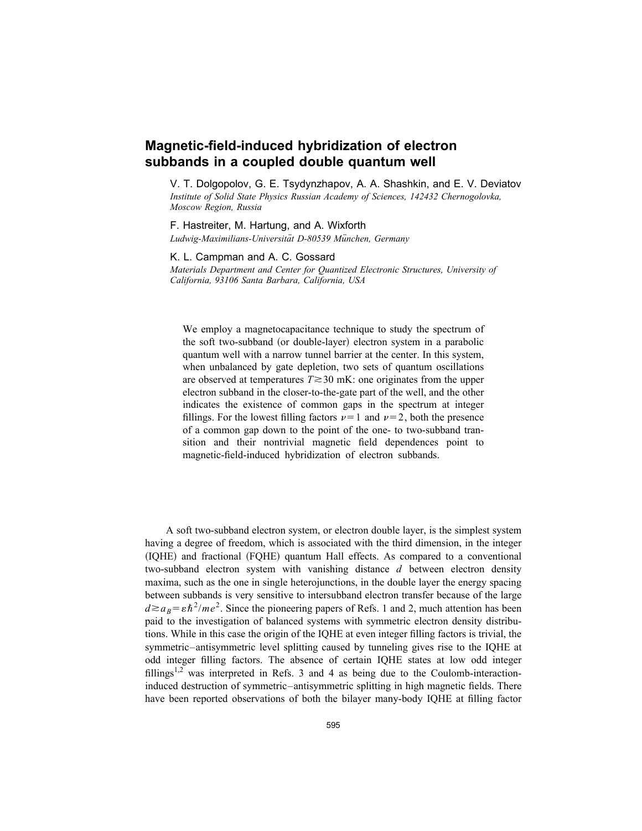## **Magnetic-field-induced hybridization of electron subbands in a coupled double quantum well**

V. T. Dolgopolov, G. E. Tsydynzhapov, A. A. Shashkin, and E. V. Deviatov *Institute of Solid State Physics Russian Academy of Sciences, 142432 Chernogolovka, Moscow Region, Russia*

F. Hastreiter, M. Hartung, and A. Wixforth *Ludwig-Maximilians-Universita¨t D-80539 Mu¨nchen, Germany*

K. L. Campman and A. C. Gossard

*Materials Department and Center for Quantized Electronic Structures, University of California, 93106 Santa Barbara, California, USA*

We employ a magnetocapacitance technique to study the spectrum of the soft two-subband (or double-layer) electron system in a parabolic quantum well with a narrow tunnel barrier at the center. In this system, when unbalanced by gate depletion, two sets of quantum oscillations are observed at temperatures  $T \gtrsim 30$  mK: one originates from the upper electron subband in the closer-to-the-gate part of the well, and the other indicates the existence of common gaps in the spectrum at integer fillings. For the lowest filling factors  $\nu=1$  and  $\nu=2$ , both the presence of a common gap down to the point of the one- to two-subband transition and their nontrivial magnetic field dependences point to magnetic-field-induced hybridization of electron subbands.

A soft two-subband electron system, or electron double layer, is the simplest system having a degree of freedom, which is associated with the third dimension, in the integer  $(IOHE)$  and fractional  $(FOHE)$  quantum Hall effects. As compared to a conventional two-subband electron system with vanishing distance *d* between electron density maxima, such as the one in single heterojunctions, in the double layer the energy spacing between subbands is very sensitive to intersubband electron transfer because of the large  $d \ge a_B = \varepsilon \hbar^2 / m e^2$ . Since the pioneering papers of Refs. 1 and 2, much attention has been paid to the investigation of balanced systems with symmetric electron density distributions. While in this case the origin of the IQHE at even integer filling factors is trivial, the symmetric–antisymmetric level splitting caused by tunneling gives rise to the IQHE at odd integer filling factors. The absence of certain IQHE states at low odd integer fillings<sup>1,2</sup> was interpreted in Refs. 3 and 4 as being due to the Coulomb-interactioninduced destruction of symmetric–antisymmetric splitting in high magnetic fields. There have been reported observations of both the bilayer many-body IQHE at filling factor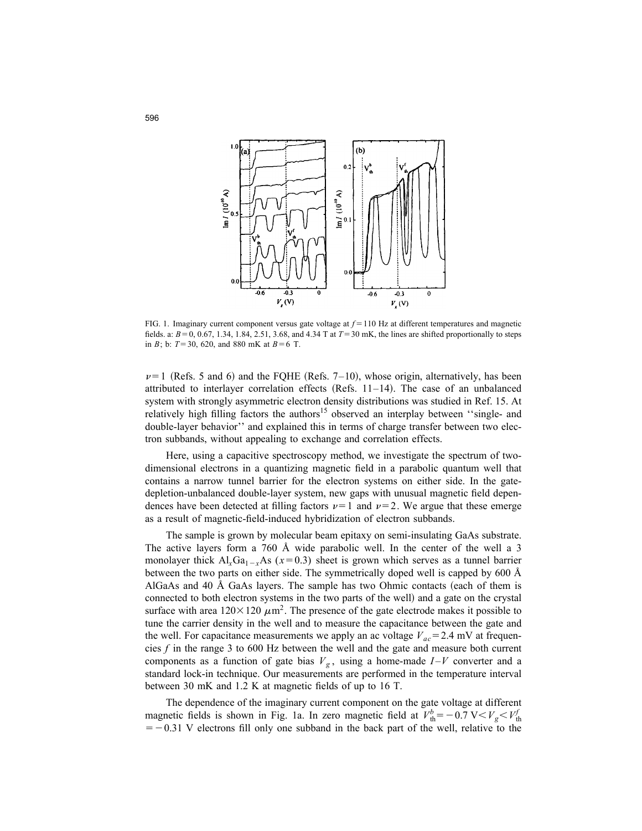

FIG. 1. Imaginary current component versus gate voltage at  $f = 110$  Hz at different temperatures and magnetic fields. a:  $B=0$ , 0.67, 1.34, 1.84, 2.51, 3.68, and 4.34 T at  $T=30$  mK, the lines are shifted proportionally to steps in *B*; b:  $T=30, 620,$  and 880 mK at  $B=6$  T.

 $\nu=1$  (Refs. 5 and 6) and the FQHE (Refs. 7–10), whose origin, alternatively, has been attributed to interlayer correlation effects (Refs.  $11-14$ ). The case of an unbalanced system with strongly asymmetric electron density distributions was studied in Ref. 15. At relatively high filling factors the authors<sup>15</sup> observed an interplay between "single- and double-layer behavior'' and explained this in terms of charge transfer between two electron subbands, without appealing to exchange and correlation effects.

Here, using a capacitive spectroscopy method, we investigate the spectrum of twodimensional electrons in a quantizing magnetic field in a parabolic quantum well that contains a narrow tunnel barrier for the electron systems on either side. In the gatedepletion-unbalanced double-layer system, new gaps with unusual magnetic field dependences have been detected at filling factors  $\nu=1$  and  $\nu=2$ . We argue that these emerge as a result of magnetic-field-induced hybridization of electron subbands.

The sample is grown by molecular beam epitaxy on semi-insulating GaAs substrate. The active layers form a 760 Å wide parabolic well. In the center of the well a 3 monolayer thick  $Al_xGa_{1-x}As$  ( $x=0.3$ ) sheet is grown which serves as a tunnel barrier between the two parts on either side. The symmetrically doped well is capped by 600 Å AlGaAs and 40 Å GaAs layers. The sample has two Ohmic contacts (each of them is connected to both electron systems in the two parts of the well! and a gate on the crystal surface with area  $120 \times 120 \ \mu \text{m}^2$ . The presence of the gate electrode makes it possible to tune the carrier density in the well and to measure the capacitance between the gate and the well. For capacitance measurements we apply an ac voltage  $V_{ac}$  = 2.4 mV at frequencies *f* in the range 3 to 600 Hz between the well and the gate and measure both current components as a function of gate bias  $V_g$ , using a home-made  $I-V$  converter and a standard lock-in technique. Our measurements are performed in the temperature interval between 30 mK and 1.2 K at magnetic fields of up to 16 T.

The dependence of the imaginary current component on the gate voltage at different magnetic fields is shown in Fig. 1a. In zero magnetic field at  $V_{\text{th}}^{b} = -0.7 \text{ V} < V_{g} < V_{\text{th}}^{f}$  $=$  -0.31 V electrons fill only one subband in the back part of the well, relative to the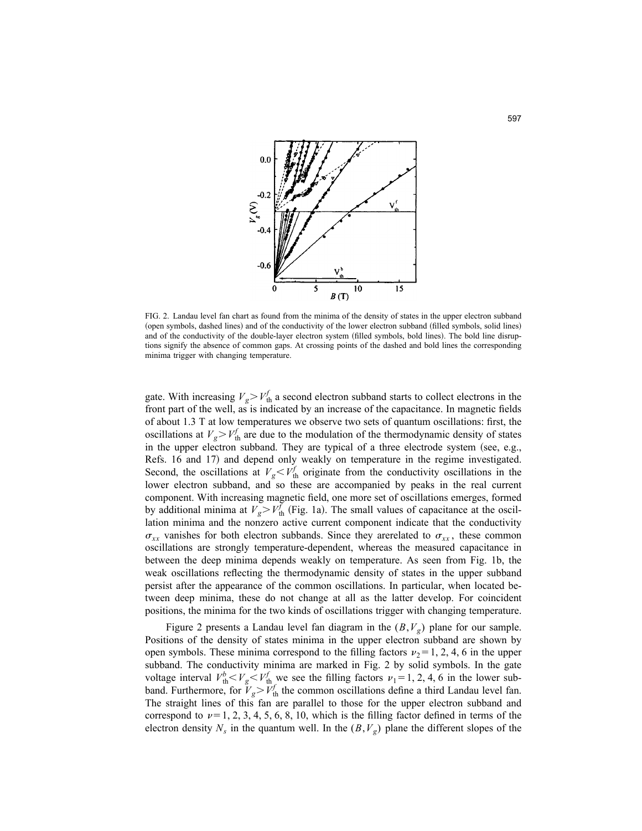

FIG. 2. Landau level fan chart as found from the minima of the density of states in the upper electron subband (open symbols, dashed lines) and of the conductivity of the lower electron subband (filled symbols, solid lines) and of the conductivity of the double-layer electron system (filled symbols, bold lines). The bold line disruptions signify the absence of common gaps. At crossing points of the dashed and bold lines the corresponding minima trigger with changing temperature.

gate. With increasing  $V_g > V_{th}^f$  a second electron subband starts to collect electrons in the front part of the well, as is indicated by an increase of the capacitance. In magnetic fields of about 1.3 T at low temperatures we observe two sets of quantum oscillations: first, the oscillations at  $V_g > V_{\text{th}}^f$  are due to the modulation of the thermodynamic density of states in the upper electron subband. They are typical of a three electrode system (see, e.g., Refs. 16 and 17) and depend only weakly on temperature in the regime investigated. Second, the oscillations at  $V_g < V_f^f$  originate from the conductivity oscillations in the lower electron subband, and so these are accompanied by peaks in the real current component. With increasing magnetic field, one more set of oscillations emerges, formed by additional minima at  $V_g > V_{th}^f$  (Fig. 1a). The small values of capacitance at the oscillation minima and the nonzero active current component indicate that the conductivity  $\sigma_{xx}$  vanishes for both electron subbands. Since they are related to  $\sigma_{xx}$ , these common oscillations are strongly temperature-dependent, whereas the measured capacitance in between the deep minima depends weakly on temperature. As seen from Fig. 1b, the weak oscillations reflecting the thermodynamic density of states in the upper subband persist after the appearance of the common oscillations. In particular, when located between deep minima, these do not change at all as the latter develop. For coincident positions, the minima for the two kinds of oscillations trigger with changing temperature.

Figure 2 presents a Landau level fan diagram in the (*B*,*V<sup>g</sup>* ) plane for our sample. Positions of the density of states minima in the upper electron subband are shown by open symbols. These minima correspond to the filling factors  $\nu_2=1, 2, 4, 6$  in the upper subband. The conductivity minima are marked in Fig. 2 by solid symbols. In the gate voltage interval  $V_{\text{th}}^b < V_g < V_{\text{th}}^f$  we see the filling factors  $v_1 = 1, 2, 4, 6$  in the lower subband. Furthermore, for  $\tilde{V}_g > \tilde{V}_{th}^f$  the common oscillations define a third Landau level fan. The straight lines of this fan are parallel to those for the upper electron subband and correspond to  $\nu=1, 2, 3, 4, 5, 6, 8, 10$ , which is the filling factor defined in terms of the electron density  $N_s$  in the quantum well. In the  $(B, V_g)$  plane the different slopes of the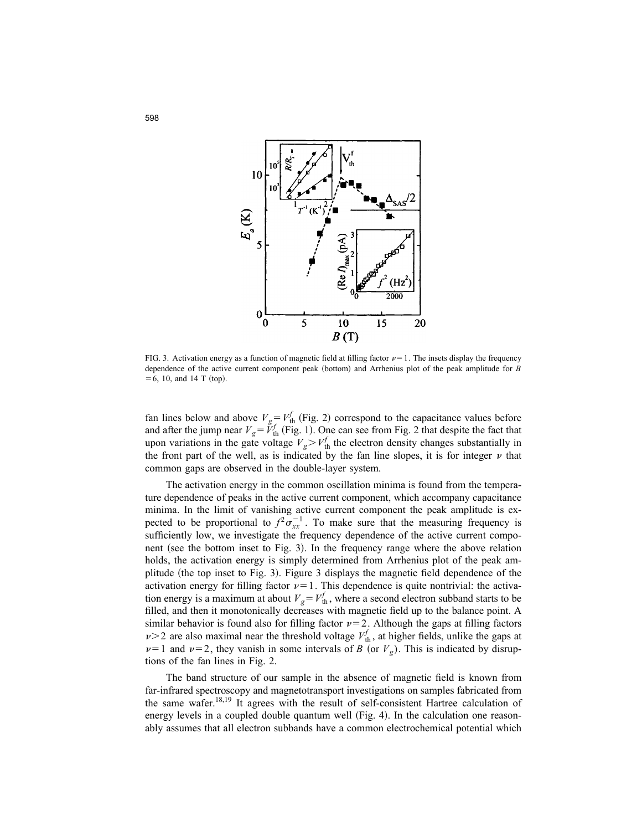

FIG. 3. Activation energy as a function of magnetic field at filling factor  $\nu=1$ . The insets display the frequency dependence of the active current component peak (bottom) and Arrhenius plot of the peak amplitude for *B*  $= 6, 10,$  and 14 T (top).

fan lines below and above  $V_g = V_{th}^f$  (Fig. 2) correspond to the capacitance values before and after the jump near  $V_g = \tilde{V}_{th}^f$  (Fig. 1). One can see from Fig. 2 that despite the fact that upon variations in the gate voltage  $V_g > V_{\text{th}}^f$  the electron density changes substantially in the front part of the well, as is indicated by the fan line slopes, it is for integer  $\nu$  that common gaps are observed in the double-layer system.

The activation energy in the common oscillation minima is found from the temperature dependence of peaks in the active current component, which accompany capacitance minima. In the limit of vanishing active current component the peak amplitude is expected to be proportional to  $f^2 \sigma_{xx}^{-1}$ . To make sure that the measuring frequency is sufficiently low, we investigate the frequency dependence of the active current component (see the bottom inset to Fig. 3). In the frequency range where the above relation holds, the activation energy is simply determined from Arrhenius plot of the peak amplitude (the top inset to Fig. 3). Figure 3 displays the magnetic field dependence of the activation energy for filling factor  $\nu=1$ . This dependence is quite nontrivial: the activation energy is a maximum at about  $V_g = V_{th}^f$ , where a second electron subband starts to be filled, and then it monotonically decreases with magnetic field up to the balance point. A similar behavior is found also for filling factor  $\nu=2$ . Although the gaps at filling factors  $\nu$  > 2 are also maximal near the threshold voltage  $V_{\text{th}}^f$ , at higher fields, unlike the gaps at  $\nu=1$  and  $\nu=2$ , they vanish in some intervals of *B* (or  $V_g$ ). This is indicated by disruptions of the fan lines in Fig. 2.

The band structure of our sample in the absence of magnetic field is known from far-infrared spectroscopy and magnetotransport investigations on samples fabricated from the same wafer.<sup>18,19</sup> It agrees with the result of self-consistent Hartree calculation of energy levels in a coupled double quantum well (Fig. 4). In the calculation one reasonably assumes that all electron subbands have a common electrochemical potential which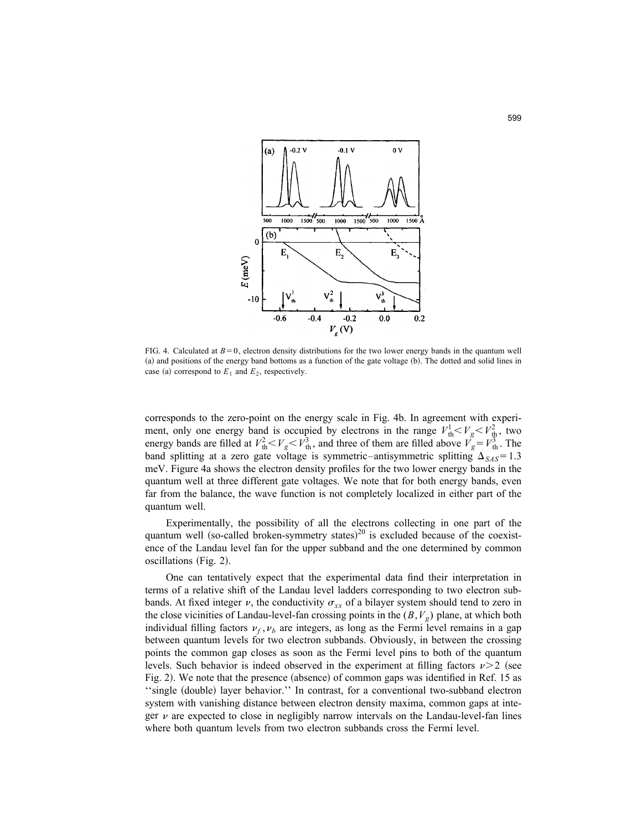

FIG. 4. Calculated at  $B=0$ , electron density distributions for the two lower energy bands in the quantum well (a) and positions of the energy band bottoms as a function of the gate voltage (b). The dotted and solid lines in case (a) correspond to  $E_1$  and  $E_2$ , respectively.

corresponds to the zero-point on the energy scale in Fig. 4b. In agreement with experiment, only one energy band is occupied by electrons in the range  $V_{\text{th}}^1 < V_g < V_{\text{th}}^2$ , two energy bands are filled at  $V_{th}^2 < V_g < V_{th}^3$ , and three of them are filled above  $V_g = V_{th}^3$ . The band splitting at a zero gate voltage is symmetric–antisymmetric splitting  $\Delta_{SAS} = 1.3$ meV. Figure 4a shows the electron density profiles for the two lower energy bands in the quantum well at three different gate voltages. We note that for both energy bands, even far from the balance, the wave function is not completely localized in either part of the quantum well.

Experimentally, the possibility of all the electrons collecting in one part of the quantum well (so-called broken-symmetry states)<sup>20</sup> is excluded because of the coexistence of the Landau level fan for the upper subband and the one determined by common  $oscillations (Fig. 2).$ 

One can tentatively expect that the experimental data find their interpretation in terms of a relative shift of the Landau level ladders corresponding to two electron subbands. At fixed integer v, the conductivity  $\sigma_{xx}$  of a bilayer system should tend to zero in the close vicinities of Landau-level-fan crossing points in the (*B*,*V<sup>g</sup>* ) plane, at which both individual filling factors  $\nu_f$ ,  $\nu_b$  are integers, as long as the Fermi level remains in a gap between quantum levels for two electron subbands. Obviously, in between the crossing points the common gap closes as soon as the Fermi level pins to both of the quantum levels. Such behavior is indeed observed in the experiment at filling factors  $\nu > 2$  (see Fig. 2). We note that the presence (absence) of common gaps was identified in Ref. 15 as "single (double) layer behavior." In contrast, for a conventional two-subband electron system with vanishing distance between electron density maxima, common gaps at integer  $\nu$  are expected to close in negligibly narrow intervals on the Landau-level-fan lines where both quantum levels from two electron subbands cross the Fermi level.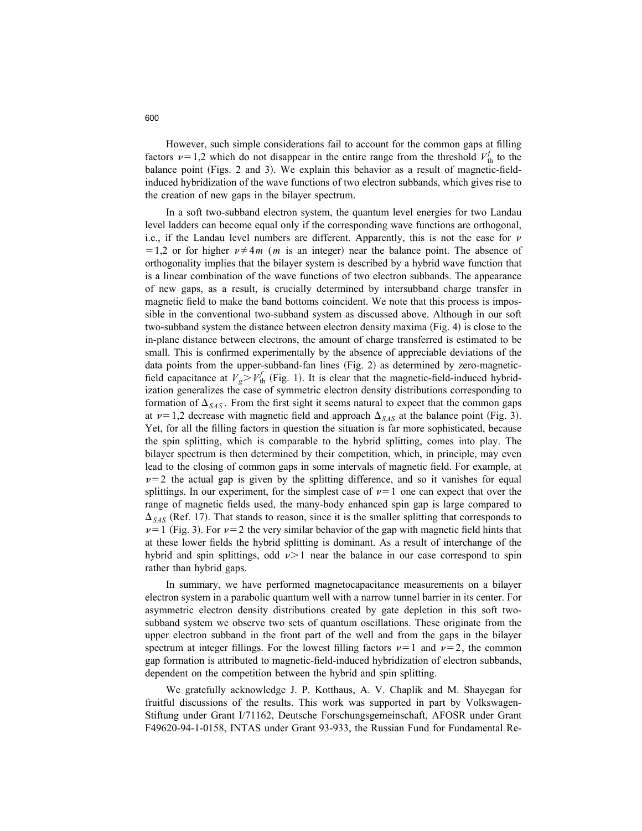However, such simple considerations fail to account for the common gaps at filling factors  $\nu=1,2$  which do not disappear in the entire range from the threshold  $V_{\text{th}}^f$  to the balance point (Figs. 2 and 3). We explain this behavior as a result of magnetic-fieldinduced hybridization of the wave functions of two electron subbands, which gives rise to the creation of new gaps in the bilayer spectrum.

In a soft two-subband electron system, the quantum level energies for two Landau level ladders can become equal only if the corresponding wave functions are orthogonal, i.e., if the Landau level numbers are different. Apparently, this is not the case for  $\nu$  $=1,2$  or for higher  $\nu \neq 4m$  (*m* is an integer) near the balance point. The absence of orthogonality implies that the bilayer system is described by a hybrid wave function that is a linear combination of the wave functions of two electron subbands. The appearance of new gaps, as a result, is crucially determined by intersubband charge transfer in magnetic field to make the band bottoms coincident. We note that this process is impossible in the conventional two-subband system as discussed above. Although in our soft two-subband system the distance between electron density maxima (Fig. 4) is close to the in-plane distance between electrons, the amount of charge transferred is estimated to be small. This is confirmed experimentally by the absence of appreciable deviations of the data points from the upper-subband-fan lines  $(Fig. 2)$  as determined by zero-magneticfield capacitance at  $V_g > V_{th}^f$  (Fig. 1). It is clear that the magnetic-field-induced hybridization generalizes the case of symmetric electron density distributions corresponding to formation of  $\Delta_{SAS}$ . From the first sight it seems natural to expect that the common gaps at  $\nu=1,2$  decrease with magnetic field and approach  $\Delta_{SAS}$  at the balance point (Fig. 3). Yet, for all the filling factors in question the situation is far more sophisticated, because the spin splitting, which is comparable to the hybrid splitting, comes into play. The bilayer spectrum is then determined by their competition, which, in principle, may even lead to the closing of common gaps in some intervals of magnetic field. For example, at  $\nu=2$  the actual gap is given by the splitting difference, and so it vanishes for equal splittings. In our experiment, for the simplest case of  $\nu=1$  one can expect that over the range of magnetic fields used, the many-body enhanced spin gap is large compared to  $\Delta_{SAS}$  (Ref. 17). That stands to reason, since it is the smaller splitting that corresponds to  $\nu=1$  (Fig. 3). For  $\nu=2$  the very similar behavior of the gap with magnetic field hints that at these lower fields the hybrid splitting is dominant. As a result of interchange of the hybrid and spin splittings, odd  $\nu > 1$  near the balance in our case correspond to spin rather than hybrid gaps.

In summary, we have performed magnetocapacitance measurements on a bilayer electron system in a parabolic quantum well with a narrow tunnel barrier in its center. For asymmetric electron density distributions created by gate depletion in this soft twosubband system we observe two sets of quantum oscillations. These originate from the upper electron subband in the front part of the well and from the gaps in the bilayer spectrum at integer fillings. For the lowest filling factors  $\nu=1$  and  $\nu=2$ , the common gap formation is attributed to magnetic-field-induced hybridization of electron subbands, dependent on the competition between the hybrid and spin splitting.

We gratefully acknowledge J. P. Kotthaus, A. V. Chaplik and M. Shayegan for fruitful discussions of the results. This work was supported in part by Volkswagen-Stiftung under Grant I/71162, Deutsche Forschungsgemeinschaft, AFOSR under Grant F49620-94-1-0158, INTAS under Grant 93-933, the Russian Fund for Fundamental Re